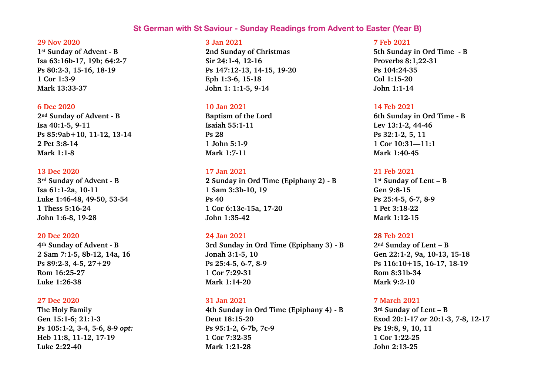# **St German with St Saviour - Sunday Readings from Advent to Easter (Year B)**

#### **29 Nov 2020**

**1st Sunday of Advent - B Isa 63:16b-17, 19b; 64:2-7 Ps 80:2-3, 15-16, 18-19 1 Cor 1:3-9 Mark 13:33-37** 

#### **6 Dec 2020**

**2nd Sunday of Advent - B Isa 40:1-5, 9-11 Ps 85:9ab+10, 11-12, 13-14 2 Pet 3:8-14 Mark 1:1-8** 

#### **13 Dec 2020**

**3rd Sunday of Advent - B Isa 61:1-2a, 10-11 Luke 1:46-48, 49-50, 53-54 1 Thess 5:16-24 John 1:6-8, 19-28** 

### **20 Dec 2020**

**4th Sunday of Advent - B 2 Sam 7:1-5, 8b-12, 14a, 16 Ps 89:2-3, 4-5, 27+29 Rom 16:25-27 Luke 1:26-38** 

### **27 Dec 2020**

**The Holy Family Gen 15:1-6; 21:1-3 Ps 105:1-2, 3-4, 5-6, 8-9** *opt:*  **Heb 11:8, 11-12, 17-19 Luke 2:22-40** 

### **3 Jan 2021**

**2nd Sunday of Christmas Sir 24:1-4, 12-16 Ps 147:12-13, 14-15, 19-20 Eph 1:3-6, 15-18 John 1: 1:1-5, 9-14** 

#### **10 Jan 2021**

**Baptism of the Lord Isaiah 55:1-11 Ps 28 1 John 5:1-9 Mark 1:7-11** 

#### **17 Jan 2021**

**2 Sunday in Ord Time (Epiphany 2) - B 1 Sam 3:3b-10, 19 Ps 40 1 Cor 6:13c-15a, 17-20 John 1:35-42** 

## **24 Jan 2021**

**3rd Sunday in Ord Time (Epiphany 3) - B Jonah 3:1-5, 10 Ps 25:4-5, 6-7, 8-9 1 Cor 7:29-31 Mark 1:14-20** 

### **31 Jan 2021**

**4th Sunday in Ord Time (Epiphany 4) - B Deut 18:15-20 Ps 95:1-2, 6-7b, 7c-9 1 Cor 7:32-35 Mark 1:21-28** 

#### **7 Feb 2021**

**5th Sunday in Ord Time - B Proverbs 8:1,22-31 Ps 104:24-35 Col 1:15-20 John 1:1-14** 

#### **14 Feb 2021**

**6th Sunday in Ord Time - B Lev 13:1-2, 44-46 Ps 32:1-2, 5, 11 1 Cor 10:31—11:1 Mark 1:40-45** 

### **21 Feb 2021**

**1st Sunday of Lent – B Gen 9:8-15 Ps 25:4-5, 6-7, 8-9 1 Pet 3:18-22 Mark 1:12-15** 

## **28 Feb 2021**

**2nd Sunday of Lent – B Gen 22:1-2, 9a, 10-13, 15-18 Ps 116:10+15, 16-17, 18-19 Rom 8:31b-34 Mark 9:2-10** 

### **7 March 2021**

**3rd Sunday of Lent – B Exod 20:1-17** *or* **20:1-3, 7-8, 12-17 Ps 19:8, 9, 10, 11 1 Cor 1:22-25 John 2:13-25**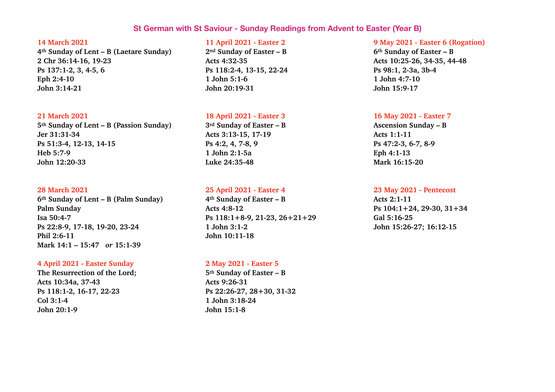# **St German with St Saviour - Sunday Readings from Advent to Easter (Year B)**

#### **14 March 2021**

**4th Sunday of Lent – B (Laetare Sunday) 2 Chr 36:14-16, 19-23 Ps 137:1-2, 3, 4-5, 6 Eph 2:4-10 John 3:14-21** 

#### **21 March 2021**

**5th Sunday of Lent – B (Passion Sunday) Jer 31:31-34 Ps 51:3-4, 12-13, 14-15 Heb 5:7-9 John 12:20-33** 

#### **28 March 2021**

**6th Sunday of Lent – B (Palm Sunday) Palm Sunday Isa 50:4-7 Ps 22:8-9, 17-18, 19-20, 23-24 Phil 2:6-11 Mark 14:1 – 15:47** *or* **15:1-39** 

## **4 April 2021 - Easter Sunday**

**The Resurrection of the Lord; Acts 10:34a, 37-43 Ps 118:1-2, 16-17, 22-23 Col 3:1-4 John 20:1-9** 

## **11 April 2021 - Easter 2**

**2nd Sunday of Easter – B Acts 4:32-35 Ps 118:2-4, 13-15, 22-24 1 John 5:1-6 John 20:19-31** 

# **18 April 2021 - Easter 3**

**3rd Sunday of Easter – B Acts 3:13-15, 17-19 Ps 4:2, 4, 7-8, 9 1 John 2:1-5a Luke 24:35-48** 

### **25 April 2021 - Easter 4**

**4th Sunday of Easter – B Acts 4:8-12 Ps 118:1+8-9, 21-23, 26+21+29 1 John 3:1-2 John 10:11-18** 

## **2 May 2021 - Easter 5**

**5th Sunday of Easter – B Acts 9:26-31 Ps 22:26-27, 28+30, 31-32 1 John 3:18-24 John 15:1-8** 

## **9 May 2021 - Easter 6 (Rogation)**

**6th Sunday of Easter – B Acts 10:25-26, 34-35, 44-48 Ps 98:1, 2-3a, 3b-4 1 John 4:7-10 John 15:9-17** 

## **16 May 2021 - Easter 7**

**Ascension Sunday – B Acts 1:1-11 Ps 47:2-3, 6-7, 8-9 Eph 4:1-13 Mark 16:15-20** 

#### **23 May 2021 - Pentecost**

**Acts 2:1-11 Ps 104:1+24, 29-30, 31+34 Gal 5:16-25 John 15:26-27; 16:12-15**